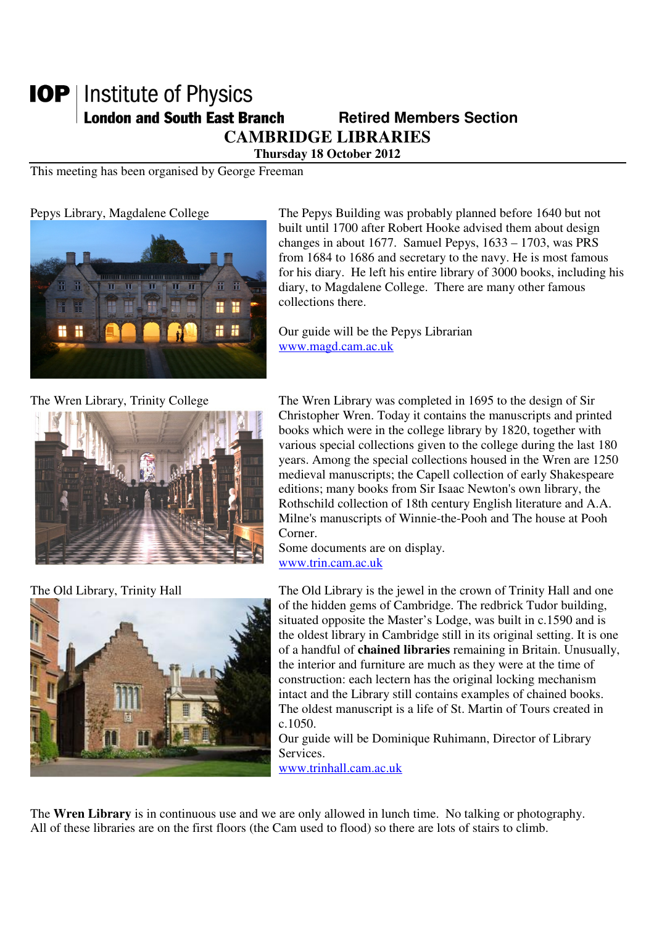## **IOP** | Institute of Physics **London and South East Branch Famely Retired Members Section CAMBRIDGE LIBRARIES**

**Thursday 18 October 2012** 

This meeting has been organised by George Freeman



Pepys Library, Magdalene College The Pepys Building was probably planned before 1640 but not built until 1700 after Robert Hooke advised them about design changes in about 1677. Samuel Pepys, 1633 – 1703, was PRS from 1684 to 1686 and secretary to the navy. He is most famous for his diary. He left his entire library of 3000 books, including his diary, to Magdalene College. There are many other famous collections there.

> Our guide will be the Pepys Librarian www.magd.cam.ac.uk





The Wren Library, Trinity College The Wren Library was completed in 1695 to the design of Sir Christopher Wren. Today it contains the manuscripts and printed books which were in the college library by 1820, together with various special collections given to the college during the last 180 years. Among the special collections housed in the Wren are 1250 medieval manuscripts; the Capell collection of early Shakespeare editions; many books from Sir Isaac Newton's own library, the Rothschild collection of 18th century English literature and A.A. Milne's manuscripts of Winnie-the-Pooh and The house at Pooh Corner.

Some documents are on display. www.trin.cam.ac.uk

The Old Library, Trinity Hall The Old Library is the jewel in the crown of Trinity Hall and one of the hidden gems of Cambridge. The redbrick Tudor building, situated opposite the Master's Lodge, was built in c.1590 and is the oldest library in Cambridge still in its original setting. It is one of a handful of **chained libraries** remaining in Britain. Unusually, the interior and furniture are much as they were at the time of construction: each lectern has the original locking mechanism intact and the Library still contains examples of chained books. The oldest manuscript is a life of St. Martin of Tours created in c.1050.

> Our guide will be Dominique Ruhimann, Director of Library Services.

www.trinhall.cam.ac.uk

The **Wren Library** is in continuous use and we are only allowed in lunch time. No talking or photography. All of these libraries are on the first floors (the Cam used to flood) so there are lots of stairs to climb.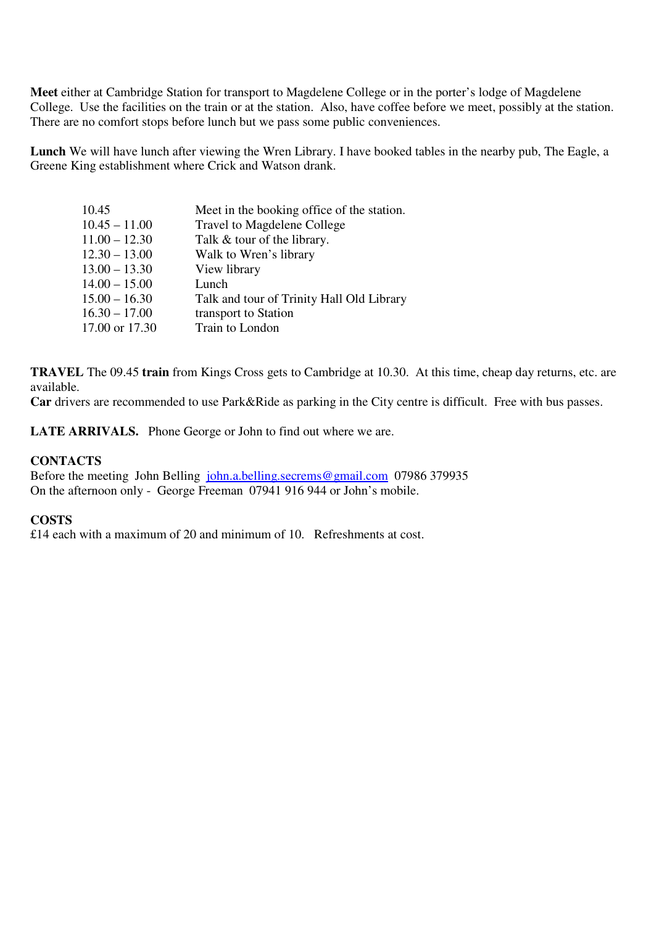**Meet** either at Cambridge Station for transport to Magdelene College or in the porter's lodge of Magdelene College. Use the facilities on the train or at the station. Also, have coffee before we meet, possibly at the station. There are no comfort stops before lunch but we pass some public conveniences.

**Lunch** We will have lunch after viewing the Wren Library. I have booked tables in the nearby pub, The Eagle, a Greene King establishment where Crick and Watson drank.

| 10.45           | Meet in the booking office of the station. |
|-----------------|--------------------------------------------|
| $10.45 - 11.00$ | Travel to Magdelene College                |
| $11.00 - 12.30$ | Talk & tour of the library.                |
| $12.30 - 13.00$ | Walk to Wren's library                     |
| $13.00 - 13.30$ | View library                               |
| $14.00 - 15.00$ | Lunch                                      |
| $15.00 - 16.30$ | Talk and tour of Trinity Hall Old Library  |
| $16.30 - 17.00$ | transport to Station                       |
| 17.00 or 17.30  | Train to London                            |

**TRAVEL** The 09.45 **train** from Kings Cross gets to Cambridge at 10.30. At this time, cheap day returns, etc. are available.

**Car** drivers are recommended to use Park&Ride as parking in the City centre is difficult. Free with bus passes.

**LATE ARRIVALS.** Phone George or John to find out where we are.

## **CONTACTS**

Before the meeting John Belling john.a.belling.secrems@gmail.com 07986 379935 On the afternoon only - George Freeman 07941 916 944 or John's mobile.

## **COSTS**

£14 each with a maximum of 20 and minimum of 10. Refreshments at cost.